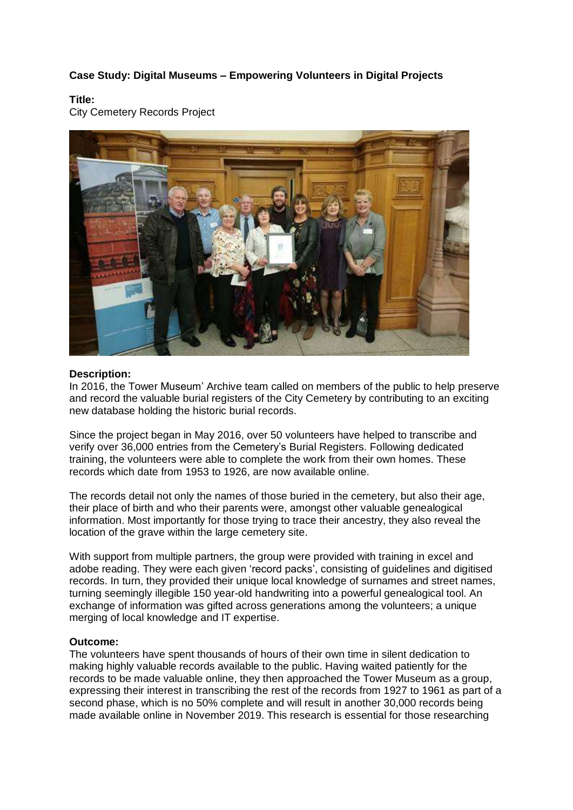## **Case Study: Digital Museums – Empowering Volunteers in Digital Projects**

## **Title:**

City Cemetery Records Project



## **Description:**

In 2016, the Tower Museum' Archive team called on members of the public to help preserve and record the valuable burial registers of the City Cemetery by contributing to an exciting new database holding the historic burial records.

Since the project began in May 2016, over 50 volunteers have helped to transcribe and verify over 36,000 entries from the Cemetery's Burial Registers. Following dedicated training, the volunteers were able to complete the work from their own homes. These records which date from 1953 to 1926, are now available online.

The records detail not only the names of those buried in the cemetery, but also their age, their place of birth and who their parents were, amongst other valuable genealogical information. Most importantly for those trying to trace their ancestry, they also reveal the location of the grave within the large cemetery site.

With support from multiple partners, the group were provided with training in excel and adobe reading. They were each given 'record packs', consisting of guidelines and digitised records. In turn, they provided their unique local knowledge of surnames and street names, turning seemingly illegible 150 year-old handwriting into a powerful genealogical tool. An exchange of information was gifted across generations among the volunteers; a unique merging of local knowledge and IT expertise.

## **Outcome:**

The volunteers have spent thousands of hours of their own time in silent dedication to making highly valuable records available to the public. Having waited patiently for the records to be made valuable online, they then approached the Tower Museum as a group, expressing their interest in transcribing the rest of the records from 1927 to 1961 as part of a second phase, which is no 50% complete and will result in another 30,000 records being made available online in November 2019. This research is essential for those researching